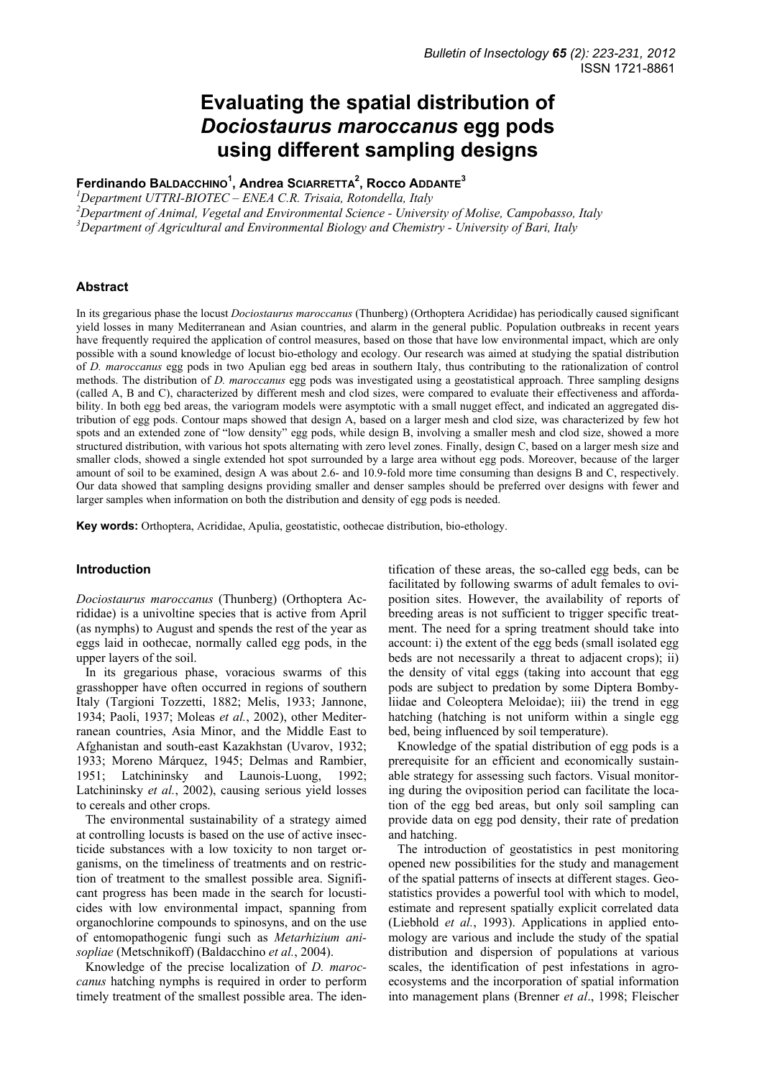# **Evaluating the spatial distribution of**  *Dociostaurus maroccanus* **egg pods using different sampling designs**

**Ferdinando BALDACCHINO<sup>1</sup> , Andrea SCIARRETTA2 , Rocco ADDANTE<sup>3</sup>**

*1 Department UTTRI-BIOTEC – ENEA C.R. Trisaia, Rotondella, Italy* 

*2 Department of Animal, Vegetal and Environmental Science - University of Molise, Campobasso, Italy 3 Department of Agricultural and Environmental Biology and Chemistry - University of Bari, Italy* 

### **Abstract**

In its gregarious phase the locust *Dociostaurus maroccanus* (Thunberg) (Orthoptera Acrididae) has periodically caused significant yield losses in many Mediterranean and Asian countries, and alarm in the general public. Population outbreaks in recent years have frequently required the application of control measures, based on those that have low environmental impact, which are only possible with a sound knowledge of locust bio-ethology and ecology. Our research was aimed at studying the spatial distribution of *D. maroccanus* egg pods in two Apulian egg bed areas in southern Italy, thus contributing to the rationalization of control methods. The distribution of *D. maroccanus* egg pods was investigated using a geostatistical approach. Three sampling designs (called A, B and C), characterized by different mesh and clod sizes, were compared to evaluate their effectiveness and affordability. In both egg bed areas, the variogram models were asymptotic with a small nugget effect, and indicated an aggregated distribution of egg pods. Contour maps showed that design A, based on a larger mesh and clod size, was characterized by few hot spots and an extended zone of "low density" egg pods, while design B, involving a smaller mesh and clod size, showed a more structured distribution, with various hot spots alternating with zero level zones. Finally, design C, based on a larger mesh size and smaller clods, showed a single extended hot spot surrounded by a large area without egg pods. Moreover, because of the larger amount of soil to be examined, design A was about 2.6- and 10.9-fold more time consuming than designs B and C, respectively. Our data showed that sampling designs providing smaller and denser samples should be preferred over designs with fewer and larger samples when information on both the distribution and density of egg pods is needed.

**Key words:** Orthoptera, Acrididae, Apulia, geostatistic, oothecae distribution, bio-ethology.

## **Introduction**

*Dociostaurus maroccanus* (Thunberg) (Orthoptera Acrididae) is a univoltine species that is active from April (as nymphs) to August and spends the rest of the year as eggs laid in oothecae, normally called egg pods, in the upper layers of the soil.

In its gregarious phase, voracious swarms of this grasshopper have often occurred in regions of southern Italy (Targioni Tozzetti, 1882; Melis, 1933; Jannone, 1934; Paoli, 1937; Moleas *et al.*, 2002), other Mediterranean countries, Asia Minor, and the Middle East to Afghanistan and south-east Kazakhstan (Uvarov, 1932; 1933; Moreno Márquez, 1945; Delmas and Rambier, 1951; Latchininsky and Launois-Luong, 1992; Latchininsky *et al.*, 2002), causing serious yield losses to cereals and other crops.

The environmental sustainability of a strategy aimed at controlling locusts is based on the use of active insecticide substances with a low toxicity to non target organisms, on the timeliness of treatments and on restriction of treatment to the smallest possible area. Significant progress has been made in the search for locusticides with low environmental impact, spanning from organochlorine compounds to spinosyns, and on the use of entomopathogenic fungi such as *Metarhizium anisopliae* (Metschnikoff) (Baldacchino *et al.*, 2004).

Knowledge of the precise localization of *D. maroccanus* hatching nymphs is required in order to perform timely treatment of the smallest possible area. The iden-

tification of these areas, the so-called egg beds, can be facilitated by following swarms of adult females to oviposition sites. However, the availability of reports of breeding areas is not sufficient to trigger specific treatment. The need for a spring treatment should take into account: i) the extent of the egg beds (small isolated egg beds are not necessarily a threat to adjacent crops); ii) the density of vital eggs (taking into account that egg pods are subject to predation by some Diptera Bombyliidae and Coleoptera Meloidae); iii) the trend in egg hatching (hatching is not uniform within a single egg bed, being influenced by soil temperature).

Knowledge of the spatial distribution of egg pods is a prerequisite for an efficient and economically sustainable strategy for assessing such factors. Visual monitoring during the oviposition period can facilitate the location of the egg bed areas, but only soil sampling can provide data on egg pod density, their rate of predation and hatching.

The introduction of geostatistics in pest monitoring opened new possibilities for the study and management of the spatial patterns of insects at different stages. Geostatistics provides a powerful tool with which to model, estimate and represent spatially explicit correlated data (Liebhold *et al.*, 1993). Applications in applied entomology are various and include the study of the spatial distribution and dispersion of populations at various scales, the identification of pest infestations in agroecosystems and the incorporation of spatial information into management plans (Brenner *et al*., 1998; Fleischer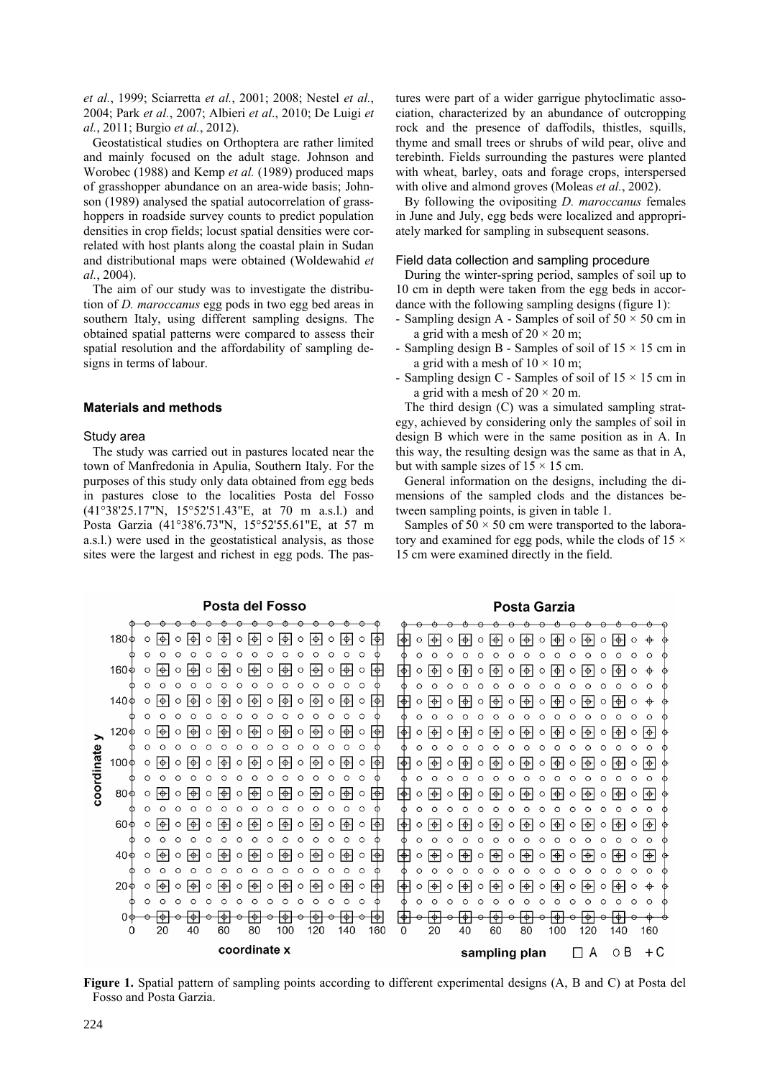*et al.*, 1999; Sciarretta *et al.*, 2001; 2008; Nestel *et al.*, 2004; Park *et al.*, 2007; Albieri *et al*., 2010; De Luigi *et al.*, 2011; Burgio *et al.*, 2012).

Geostatistical studies on Orthoptera are rather limited and mainly focused on the adult stage. Johnson and Worobec (1988) and Kemp *et al.* (1989) produced maps of grasshopper abundance on an area-wide basis; Johnson (1989) analysed the spatial autocorrelation of grasshoppers in roadside survey counts to predict population densities in crop fields; locust spatial densities were correlated with host plants along the coastal plain in Sudan and distributional maps were obtained (Woldewahid *et al.*, 2004).

The aim of our study was to investigate the distribution of *D. maroccanus* egg pods in two egg bed areas in southern Italy, using different sampling designs. The obtained spatial patterns were compared to assess their spatial resolution and the affordability of sampling designs in terms of labour.

## **Materials and methods**

#### Study area

The study was carried out in pastures located near the town of Manfredonia in Apulia, Southern Italy. For the purposes of this study only data obtained from egg beds in pastures close to the localities Posta del Fosso (41°38'25.17"N, 15°52'51.43"E, at 70 m a.s.l.) and Posta Garzia (41°38'6.73"N, 15°52'55.61"E, at 57 m a.s.l.) were used in the geostatistical analysis, as those sites were the largest and richest in egg pods. The pastures were part of a wider garrigue phytoclimatic association, characterized by an abundance of outcropping rock and the presence of daffodils, thistles, squills, thyme and small trees or shrubs of wild pear, olive and terebinth. Fields surrounding the pastures were planted with wheat, barley, oats and forage crops, interspersed with olive and almond groves (Moleas *et al.*, 2002).

By following the ovipositing *D. maroccanus* females in June and July, egg beds were localized and appropriately marked for sampling in subsequent seasons.

## Field data collection and sampling procedure

During the winter-spring period, samples of soil up to 10 cm in depth were taken from the egg beds in accordance with the following sampling designs (figure 1):

- Sampling design A Samples of soil of  $50 \times 50$  cm in a grid with a mesh of  $20 \times 20$  m;
- Sampling design B Samples of soil of  $15 \times 15$  cm in a grid with a mesh of  $10 \times 10$  m;
- Sampling design C Samples of soil of 15 × 15 cm in a grid with a mesh of  $20 \times 20$  m.

The third design (C) was a simulated sampling strategy, achieved by considering only the samples of soil in design B which were in the same position as in A. In this way, the resulting design was the same as that in A, but with sample sizes of  $15 \times 15$  cm.

General information on the designs, including the dimensions of the sampled clods and the distances between sampling points, is given in table 1.

Samples of  $50 \times 50$  cm were transported to the laboratory and examined for egg pods, while the clods of  $15 \times$ 15 cm were examined directly in the field.

#### Posta del Fosso

#### Posta Garzia



**Figure 1.** Spatial pattern of sampling points according to different experimental designs (A, B and C) at Posta del Fosso and Posta Garzia.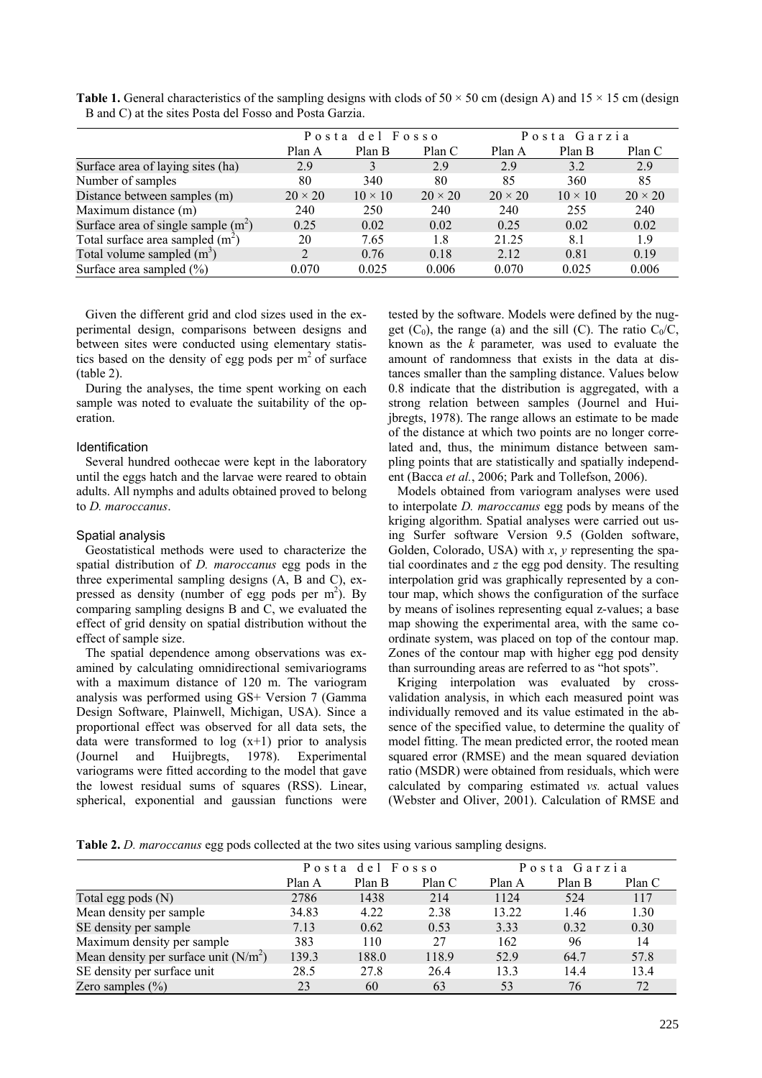|                                      | Posta del Fosso |                |                | Posta Garzia   |                |                |
|--------------------------------------|-----------------|----------------|----------------|----------------|----------------|----------------|
|                                      | Plan A          | Plan B         | Plan C         | Plan A         | Plan B         | Plan C         |
| Surface area of laying sites (ha)    | 2.9             | 3              | 2.9            | 2.9            | 3.2            | 2.9            |
| Number of samples                    | 80              | 340            | 80             | 85             | 360            | 85             |
| Distance between samples (m)         | $20 \times 20$  | $10 \times 10$ | $20 \times 20$ | $20 \times 20$ | $10 \times 10$ | $20 \times 20$ |
| Maximum distance (m)                 | 240             | 250            | 240            | 240            | 255            | 240            |
| Surface area of single sample $(m2)$ | 0.25            | 0.02           | 0.02           | 0.25           | 0.02           | 0.02           |
| Total surface area sampled $(m^2)$   | 20              | 7.65           | 1.8            | 21.25          | 8.1            | 1.9            |
| Total volume sampled $(m^3)$         | $\mathfrak{D}$  | 0.76           | 0.18           | 2.12           | 0.81           | 0.19           |
| Surface area sampled $(\% )$         | 0.070           | 0.025          | 0.006          | 0.070          | 0.025          | 0.006          |

**Table 1.** General characteristics of the sampling designs with clods of  $50 \times 50$  cm (design A) and  $15 \times 15$  cm (design B and C) at the sites Posta del Fosso and Posta Garzia.

Given the different grid and clod sizes used in the experimental design, comparisons between designs and between sites were conducted using elementary statistics based on the density of egg pods per  $m<sup>2</sup>$  of surface (table 2).

During the analyses, the time spent working on each sample was noted to evaluate the suitability of the operation.

## Identification

Several hundred oothecae were kept in the laboratory until the eggs hatch and the larvae were reared to obtain adults. All nymphs and adults obtained proved to belong to *D. maroccanus*.

### Spatial analysis

Geostatistical methods were used to characterize the spatial distribution of *D. maroccanus* egg pods in the three experimental sampling designs (A, B and C), expressed as density (number of egg pods per  $m<sup>2</sup>$ ). By comparing sampling designs B and C, we evaluated the effect of grid density on spatial distribution without the effect of sample size.

The spatial dependence among observations was examined by calculating omnidirectional semivariograms with a maximum distance of 120 m. The variogram analysis was performed using GS+ Version 7 (Gamma Design Software, Plainwell, Michigan, USA). Since a proportional effect was observed for all data sets, the data were transformed to  $log(x+1)$  prior to analysis (Journel and Huijbregts, 1978). Experimental variograms were fitted according to the model that gave the lowest residual sums of squares (RSS). Linear, spherical, exponential and gaussian functions were

tested by the software. Models were defined by the nugget  $(C_0)$ , the range (a) and the sill (C). The ratio  $C_0/C$ , known as the *k* parameter*,* was used to evaluate the amount of randomness that exists in the data at distances smaller than the sampling distance. Values below 0.8 indicate that the distribution is aggregated, with a strong relation between samples (Journel and Huijbregts, 1978). The range allows an estimate to be made of the distance at which two points are no longer correlated and, thus, the minimum distance between sampling points that are statistically and spatially independent (Bacca *et al.*, 2006; Park and Tollefson, 2006).

Models obtained from variogram analyses were used to interpolate *D. maroccanus* egg pods by means of the kriging algorithm. Spatial analyses were carried out using Surfer software Version 9.5 (Golden software, Golden, Colorado, USA) with *x*, *y* representing the spatial coordinates and *z* the egg pod density. The resulting interpolation grid was graphically represented by a contour map, which shows the configuration of the surface by means of isolines representing equal z-values; a base map showing the experimental area, with the same coordinate system, was placed on top of the contour map. Zones of the contour map with higher egg pod density than surrounding areas are referred to as "hot spots".

Kriging interpolation was evaluated by crossvalidation analysis, in which each measured point was individually removed and its value estimated in the absence of the specified value, to determine the quality of model fitting. The mean predicted error, the rooted mean squared error (RMSE) and the mean squared deviation ratio (MSDR) were obtained from residuals, which were calculated by comparing estimated *vs.* actual values (Webster and Oliver, 2001). Calculation of RMSE and

**Table 2.** *D. maroccanus* egg pods collected at the two sites using various sampling designs.

|                                        | Posta del Fosso |        |        | Posta Garzia |        |        |
|----------------------------------------|-----------------|--------|--------|--------------|--------|--------|
|                                        | Plan A          | Plan B | Plan C | Plan A       | Plan B | Plan C |
| Total egg pods $(N)$                   | 2786            | 1438   | 214    | 1124         | 524    | 117    |
| Mean density per sample                | 34.83           | 4.22   | 2.38   | 13.22        | 1.46   | 1.30   |
| SE density per sample                  | 7.13            | 0.62   | 0.53   | 3.33         | 0.32   | 0.30   |
| Maximum density per sample             | 383             | 110    | 27     | 162          | 96     | 14     |
| Mean density per surface unit $(N/m2)$ | 139.3           | 188.0  | 118.9  | 52.9         | 64.7   | 57.8   |
| SE density per surface unit            | 28.5            | 27.8   | 26.4   | 13.3         | 14.4   | 13.4   |
| Zero samples $(\% )$                   | 23              | 60     | 63     | 53           | 76     | 72     |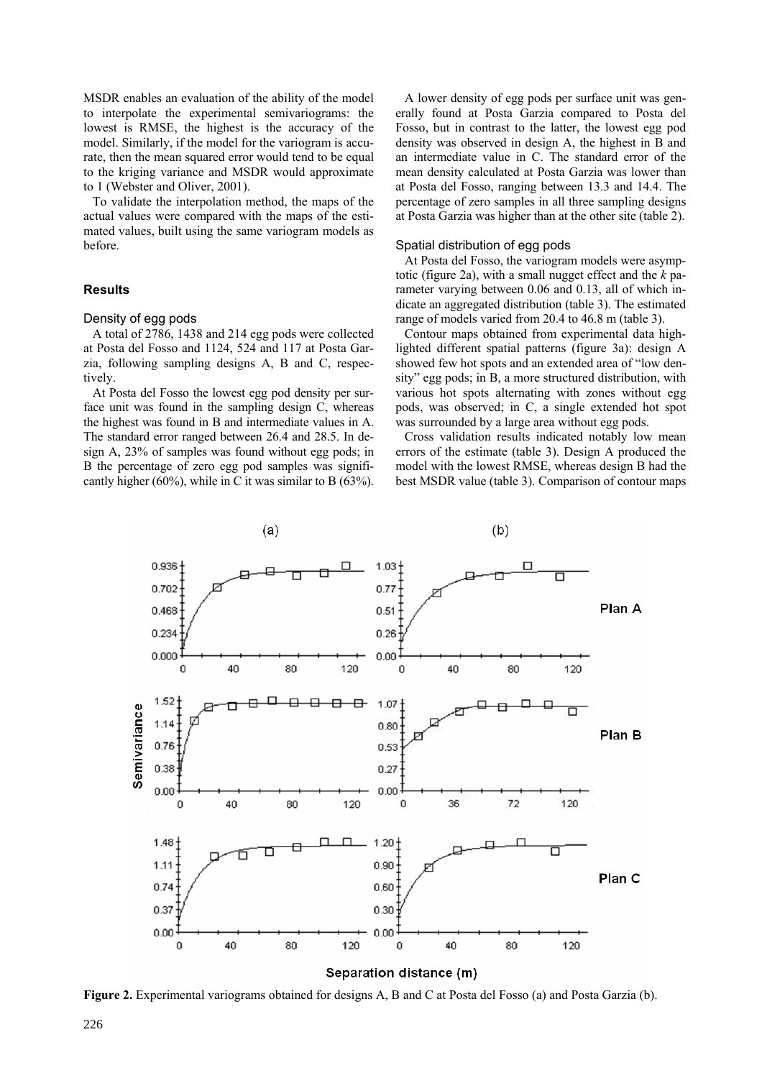MSDR enables an evaluation of the ability of the model to interpolate the experimental semivariograms: the lowest is RMSE, the highest is the accuracy of the model. Similarly, if the model for the variogram is accurate, then the mean squared error would tend to be equal to the kriging variance and MSDR would approximate to 1 (Webster and Oliver, 2001).

To validate the interpolation method, the maps of the actual values were compared with the maps of the estimated values, built using the same variogram models as before.

## **Results**

### Density of egg pods

A total of 2786, 1438 and 214 egg pods were collected at Posta del Fosso and 1124, 524 and 117 at Posta Garzia, following sampling designs A, B and C, respectively.

At Posta del Fosso the lowest egg pod density per surface unit was found in the sampling design C, whereas the highest was found in B and intermediate values in A. The standard error ranged between 26.4 and 28.5. In design A, 23% of samples was found without egg pods; in B the percentage of zero egg pod samples was significantly higher (60%), while in C it was similar to B (63%).

A lower density of egg pods per surface unit was generally found at Posta Garzia compared to Posta del Fosso, but in contrast to the latter, the lowest egg pod density was observed in design A, the highest in B and an intermediate value in C. The standard error of the mean density calculated at Posta Garzia was lower than at Posta del Fosso, ranging between 13.3 and 14.4. The percentage of zero samples in all three sampling designs at Posta Garzia was higher than at the other site (table 2).

## Spatial distribution of egg pods

At Posta del Fosso, the variogram models were asymptotic (figure 2a), with a small nugget effect and the *k* parameter varying between 0.06 and 0.13, all of which indicate an aggregated distribution (table 3). The estimated range of models varied from 20.4 to 46.8 m (table 3).

Contour maps obtained from experimental data highlighted different spatial patterns (figure 3a): design A showed few hot spots and an extended area of "low density" egg pods; in B, a more structured distribution, with various hot spots alternating with zones without egg pods, was observed; in C, a single extended hot spot was surrounded by a large area without egg pods.

Cross validation results indicated notably low mean errors of the estimate (table 3). Design A produced the model with the lowest RMSE, whereas design B had the best MSDR value (table 3). Comparison of contour maps



**Figure 2.** Experimental variograms obtained for designs A, B and C at Posta del Fosso (a) and Posta Garzia (b).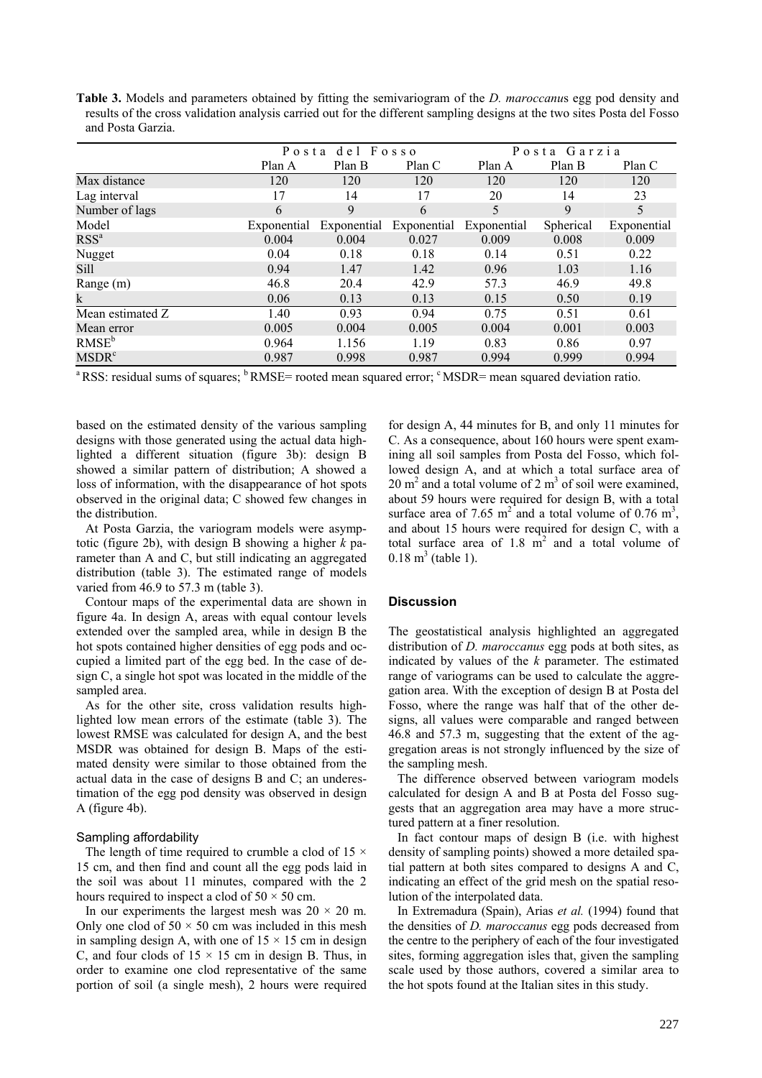**Table 3.** Models and parameters obtained by fitting the semivariogram of the *D. maroccanu*s egg pod density and results of the cross validation analysis carried out for the different sampling designs at the two sites Posta del Fosso and Posta Garzia.

|                   | Posta del Fosso |             |             | Posta Garzia |           |             |
|-------------------|-----------------|-------------|-------------|--------------|-----------|-------------|
|                   | Plan A          | Plan B      | Plan C      | Plan A       | Plan B    | Plan C      |
| Max distance      | 120             | 120         | 120         | 120          | 120       | 120         |
| Lag interval      | 17              | 14          | 17          | 20           | 14        | 23          |
| Number of lags    | 6               | 9           | 6           | 5            | 9         | 5           |
| Model             | Exponential     | Exponential | Exponential | Exponential  | Spherical | Exponential |
| RSS <sup>a</sup>  | 0.004           | 0.004       | 0.027       | 0.009        | 0.008     | 0.009       |
| Nugget            | 0.04            | 0.18        | 0.18        | 0.14         | 0.51      | 0.22        |
| Sill              | 0.94            | 1.47        | 1.42        | 0.96         | 1.03      | 1.16        |
| Range (m)         | 46.8            | 20.4        | 42.9        | 57.3         | 46.9      | 49.8        |
| k                 | 0.06            | 0.13        | 0.13        | 0.15         | 0.50      | 0.19        |
| Mean estimated Z  | 1.40            | 0.93        | 0.94        | 0.75         | 0.51      | 0.61        |
| Mean error        | 0.005           | 0.004       | 0.005       | 0.004        | 0.001     | 0.003       |
| RMSE <sup>b</sup> | 0.964           | 1.156       | 1.19        | 0.83         | 0.86      | 0.97        |
| MSDR <sup>c</sup> | 0.987           | 0.998       | 0.987       | 0.994        | 0.999     | 0.994       |

<sup>a</sup> RSS: residual sums of squares; <sup>b</sup> RMSE= rooted mean squared error; <sup>c</sup> MSDR= mean squared deviation ratio.

based on the estimated density of the various sampling designs with those generated using the actual data highlighted a different situation (figure 3b): design B showed a similar pattern of distribution; A showed a loss of information, with the disappearance of hot spots observed in the original data; C showed few changes in the distribution.

At Posta Garzia, the variogram models were asymptotic (figure 2b), with design B showing a higher *k* parameter than A and C, but still indicating an aggregated distribution (table 3). The estimated range of models varied from 46.9 to 57.3 m (table 3).

Contour maps of the experimental data are shown in figure 4a. In design A, areas with equal contour levels extended over the sampled area, while in design B the hot spots contained higher densities of egg pods and occupied a limited part of the egg bed. In the case of design C, a single hot spot was located in the middle of the sampled area.

As for the other site, cross validation results highlighted low mean errors of the estimate (table 3). The lowest RMSE was calculated for design A, and the best MSDR was obtained for design B. Maps of the estimated density were similar to those obtained from the actual data in the case of designs B and C; an underestimation of the egg pod density was observed in design A (figure 4b).

## Sampling affordability

The length of time required to crumble a clod of 15  $\times$ 15 cm, and then find and count all the egg pods laid in the soil was about 11 minutes, compared with the 2 hours required to inspect a clod of  $50 \times 50$  cm.

In our experiments the largest mesh was  $20 \times 20$  m. Only one clod of  $50 \times 50$  cm was included in this mesh in sampling design A, with one of  $15 \times 15$  cm in design C, and four clods of  $15 \times 15$  cm in design B. Thus, in order to examine one clod representative of the same portion of soil (a single mesh), 2 hours were required

for design A, 44 minutes for B, and only 11 minutes for C. As a consequence, about 160 hours were spent examining all soil samples from Posta del Fosso, which followed design A, and at which a total surface area of  $20 \text{ m}^2$  and a total volume of 2 m<sup>3</sup> of soil were examined, about 59 hours were required for design B, with a total surface area of 7.65  $m^2$  and a total volume of 0.76  $m^3$ , and about 15 hours were required for design C, with a total surface area of  $1.8 \text{ m}^2$  and a total volume of  $0.18 \text{ m}^3 \text{ (table 1)}.$ 

## **Discussion**

The geostatistical analysis highlighted an aggregated distribution of *D. maroccanus* egg pods at both sites, as indicated by values of the *k* parameter. The estimated range of variograms can be used to calculate the aggregation area. With the exception of design B at Posta del Fosso, where the range was half that of the other designs, all values were comparable and ranged between 46.8 and 57.3 m, suggesting that the extent of the aggregation areas is not strongly influenced by the size of the sampling mesh.

The difference observed between variogram models calculated for design A and B at Posta del Fosso suggests that an aggregation area may have a more structured pattern at a finer resolution.

In fact contour maps of design B (i.e. with highest density of sampling points) showed a more detailed spatial pattern at both sites compared to designs A and C, indicating an effect of the grid mesh on the spatial resolution of the interpolated data.

In Extremadura (Spain), Arias *et al.* (1994) found that the densities of *D. maroccanus* egg pods decreased from the centre to the periphery of each of the four investigated sites, forming aggregation isles that, given the sampling scale used by those authors, covered a similar area to the hot spots found at the Italian sites in this study.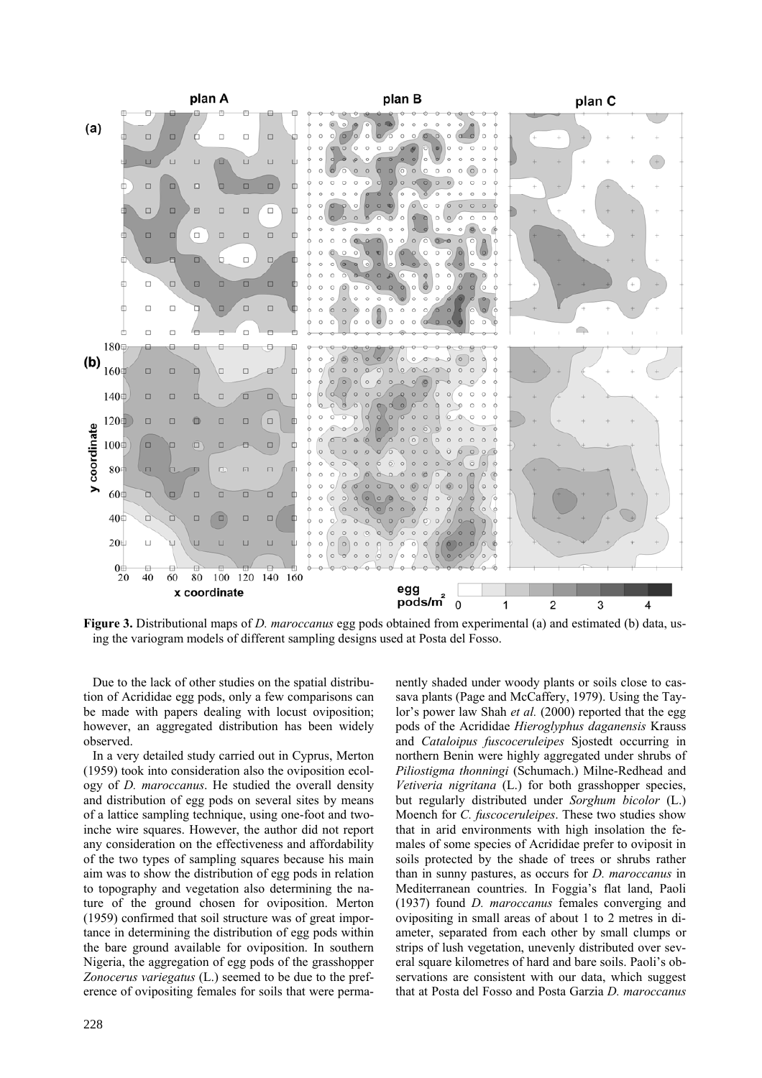

**Figure 3.** Distributional maps of *D. maroccanus* egg pods obtained from experimental (a) and estimated (b) data, using the variogram models of different sampling designs used at Posta del Fosso.

Due to the lack of other studies on the spatial distribution of Acrididae egg pods, only a few comparisons can be made with papers dealing with locust oviposition; however, an aggregated distribution has been widely observed.

In a very detailed study carried out in Cyprus, Merton (1959) took into consideration also the oviposition ecology of *D. maroccanus*. He studied the overall density and distribution of egg pods on several sites by means of a lattice sampling technique, using one-foot and twoinche wire squares. However, the author did not report any consideration on the effectiveness and affordability of the two types of sampling squares because his main aim was to show the distribution of egg pods in relation to topography and vegetation also determining the nature of the ground chosen for oviposition. Merton (1959) confirmed that soil structure was of great importance in determining the distribution of egg pods within the bare ground available for oviposition. In southern Nigeria, the aggregation of egg pods of the grasshopper *Zonocerus variegatus* (L.) seemed to be due to the preference of ovipositing females for soils that were permanently shaded under woody plants or soils close to cassava plants (Page and McCaffery, 1979). Using the Taylor's power law Shah *et al.* (2000) reported that the egg pods of the Acrididae *Hieroglyphus daganensis* Krauss and *Cataloipus fuscoceruleipes* Sjostedt occurring in northern Benin were highly aggregated under shrubs of *Piliostigma thonningi* (Schumach.) Milne-Redhead and *Vetiveria nigritana* (L.) for both grasshopper species, but regularly distributed under *Sorghum bicolor* (L.) Moench for *C. fuscoceruleipes*. These two studies show that in arid environments with high insolation the females of some species of Acrididae prefer to oviposit in soils protected by the shade of trees or shrubs rather than in sunny pastures, as occurs for *D. maroccanus* in Mediterranean countries. In Foggia's flat land, Paoli (1937) found *D. maroccanus* females converging and ovipositing in small areas of about 1 to 2 metres in diameter, separated from each other by small clumps or strips of lush vegetation, unevenly distributed over several square kilometres of hard and bare soils. Paoli's observations are consistent with our data, which suggest that at Posta del Fosso and Posta Garzia *D. maroccanus*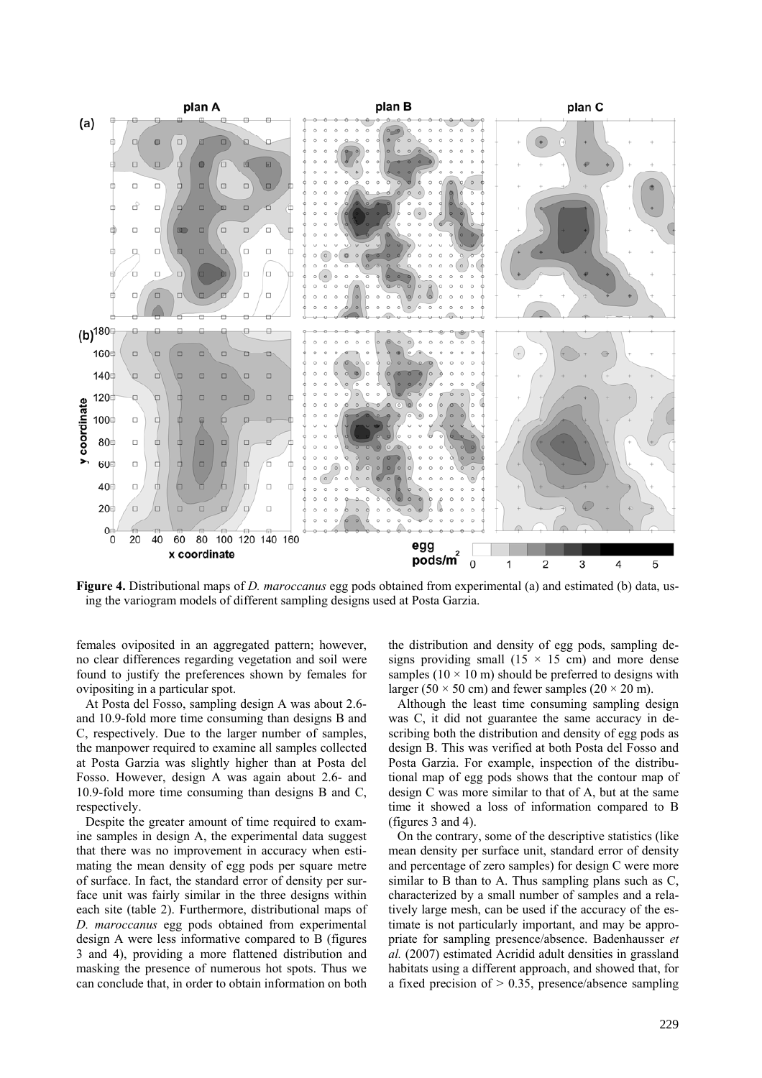

**Figure 4.** Distributional maps of *D. maroccanus* egg pods obtained from experimental (a) and estimated (b) data, using the variogram models of different sampling designs used at Posta Garzia.

females oviposited in an aggregated pattern; however, no clear differences regarding vegetation and soil were found to justify the preferences shown by females for ovipositing in a particular spot.

At Posta del Fosso, sampling design A was about 2.6 and 10.9-fold more time consuming than designs B and C, respectively. Due to the larger number of samples, the manpower required to examine all samples collected at Posta Garzia was slightly higher than at Posta del Fosso. However, design A was again about 2.6- and 10.9-fold more time consuming than designs B and C, respectively.

Despite the greater amount of time required to examine samples in design A, the experimental data suggest that there was no improvement in accuracy when estimating the mean density of egg pods per square metre of surface. In fact, the standard error of density per surface unit was fairly similar in the three designs within each site (table 2). Furthermore, distributional maps of *D. maroccanus* egg pods obtained from experimental design A were less informative compared to B (figures 3 and 4), providing a more flattened distribution and masking the presence of numerous hot spots. Thus we can conclude that, in order to obtain information on both

the distribution and density of egg pods, sampling designs providing small  $(15 \times 15 \text{ cm})$  and more dense samples ( $10 \times 10$  m) should be preferred to designs with larger (50  $\times$  50 cm) and fewer samples (20  $\times$  20 m).

Although the least time consuming sampling design was C, it did not guarantee the same accuracy in describing both the distribution and density of egg pods as design B. This was verified at both Posta del Fosso and Posta Garzia. For example, inspection of the distributional map of egg pods shows that the contour map of design C was more similar to that of A, but at the same time it showed a loss of information compared to B (figures 3 and 4).

On the contrary, some of the descriptive statistics (like mean density per surface unit, standard error of density and percentage of zero samples) for design C were more similar to B than to A. Thus sampling plans such as  $C$ , characterized by a small number of samples and a relatively large mesh, can be used if the accuracy of the estimate is not particularly important, and may be appropriate for sampling presence/absence. Badenhausser *et al.* (2007) estimated Acridid adult densities in grassland habitats using a different approach, and showed that, for a fixed precision of  $> 0.35$ , presence/absence sampling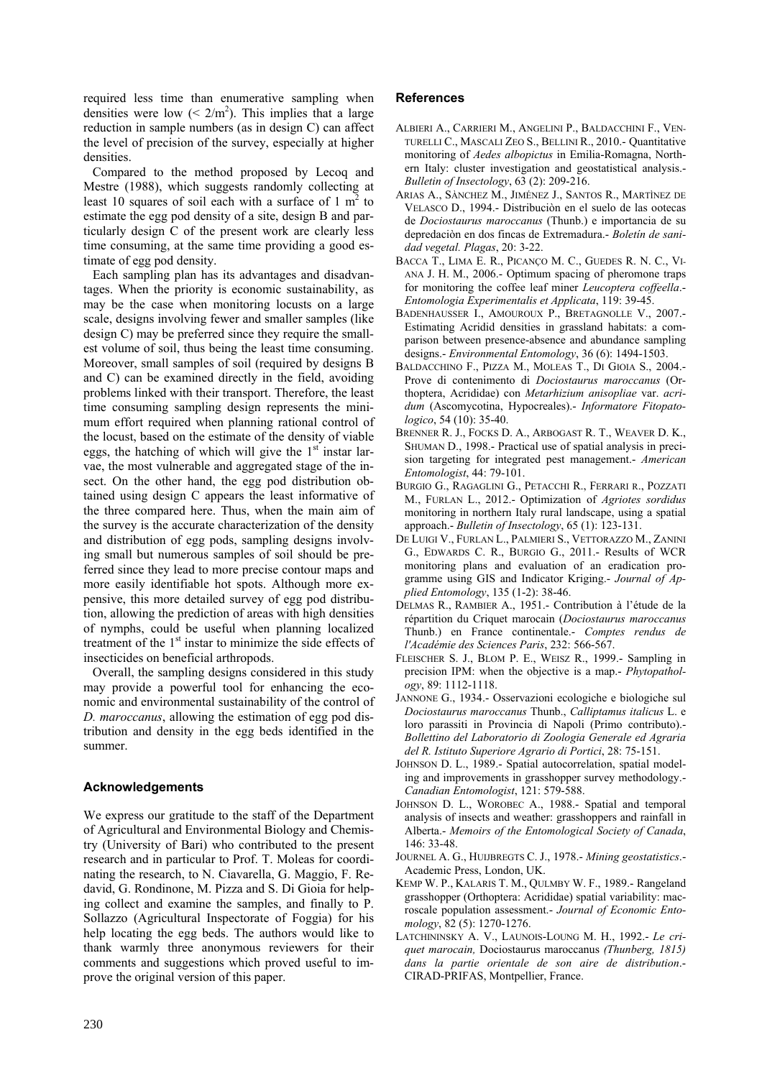required less time than enumerative sampling when densities were low  $(< 2/m<sup>2</sup>)$ . This implies that a large reduction in sample numbers (as in design C) can affect the level of precision of the survey, especially at higher densities.

Compared to the method proposed by Lecoq and Mestre (1988), which suggests randomly collecting at least 10 squares of soil each with a surface of 1  $m<sup>2</sup>$  to estimate the egg pod density of a site, design B and particularly design C of the present work are clearly less time consuming, at the same time providing a good estimate of egg pod density.

Each sampling plan has its advantages and disadvantages. When the priority is economic sustainability, as may be the case when monitoring locusts on a large scale, designs involving fewer and smaller samples (like design C) may be preferred since they require the smallest volume of soil, thus being the least time consuming. Moreover, small samples of soil (required by designs B and C) can be examined directly in the field, avoiding problems linked with their transport. Therefore, the least time consuming sampling design represents the minimum effort required when planning rational control of the locust, based on the estimate of the density of viable eggs, the hatching of which will give the  $1<sup>st</sup>$  instar larvae, the most vulnerable and aggregated stage of the insect. On the other hand, the egg pod distribution obtained using design C appears the least informative of the three compared here. Thus, when the main aim of the survey is the accurate characterization of the density and distribution of egg pods, sampling designs involving small but numerous samples of soil should be preferred since they lead to more precise contour maps and more easily identifiable hot spots. Although more expensive, this more detailed survey of egg pod distribution, allowing the prediction of areas with high densities of nymphs, could be useful when planning localized treatment of the  $1<sup>st</sup>$  instar to minimize the side effects of insecticides on beneficial arthropods.

Overall, the sampling designs considered in this study may provide a powerful tool for enhancing the economic and environmental sustainability of the control of *D. maroccanus*, allowing the estimation of egg pod distribution and density in the egg beds identified in the summer.

# **Acknowledgements**

We express our gratitude to the staff of the Department of Agricultural and Environmental Biology and Chemistry (University of Bari) who contributed to the present research and in particular to Prof. T. Moleas for coordinating the research, to N. Ciavarella, G. Maggio, F. Redavid, G. Rondinone, M. Pizza and S. Di Gioia for helping collect and examine the samples, and finally to P. Sollazzo (Agricultural Inspectorate of Foggia) for his help locating the egg beds. The authors would like to thank warmly three anonymous reviewers for their comments and suggestions which proved useful to improve the original version of this paper.

## **References**

- ALBIERI A., CARRIERI M., ANGELINI P., BALDACCHINI F., VEN-TURELLI C., MASCALI ZEO S., BELLINI R., 2010.- Quantitative monitoring of *Aedes albopictus* in Emilia-Romagna, Northern Italy: cluster investigation and geostatistical analysis.- *Bulletin of Insectology*, 63 (2): 209-216.
- ARIAS A., SÀNCHEZ M., JIMÉNEZ J., SANTOS R., MARTÌNEZ DE VELASCO D., 1994.- Distribuciòn en el suelo de las ootecas de *Dociostaurus maroccanus* (Thunb.) e importancia de su depredaciòn en dos fincas de Extremadura.- *Boletín de sanidad vegetal. Plagas*, 20: 3-22.
- BACCA T., LIMA E. R., PICANÇO M. C., GUEDES R. N. C., VI-ANA J. H. M., 2006.- Optimum spacing of pheromone traps for monitoring the coffee leaf miner *Leucoptera coffeella*.- *Entomologia Experimentalis et Applicata*, 119: 39-45.
- BADENHAUSSER I., AMOUROUX P., BRETAGNOLLE V., 2007.- Estimating Acridid densities in grassland habitats: a comparison between presence-absence and abundance sampling designs.- *Environmental Entomology*, 36 (6): 1494-1503.
- BALDACCHINO F., PIZZA M., MOLEAS T., DI GIOIA S., 2004.- Prove di contenimento di *Dociostaurus maroccanus* (Orthoptera, Acrididae) con *Metarhizium anisopliae* var. *acridum* (Ascomycotina, Hypocreales).- *Informatore Fitopatologico*, 54 (10): 35-40.
- BRENNER R. J., FOCKS D. A., ARBOGAST R. T., WEAVER D. K., SHUMAN D., 1998.- Practical use of spatial analysis in precision targeting for integrated pest management.- *American Entomologist*, 44: 79-101.
- BURGIO G., RAGAGLINI G., PETACCHI R., FERRARI R., POZZATI M., FURLAN L., 2012.- Optimization of *Agriotes sordidus* monitoring in northern Italy rural landscape, using a spatial approach.- *Bulletin of Insectology*, 65 (1): 123-131.
- DE LUIGI V., FURLAN L., PALMIERI S., VETTORAZZO M., ZANINI G., EDWARDS C. R., BURGIO G., 2011.- Results of WCR monitoring plans and evaluation of an eradication programme using GIS and Indicator Kriging.- *Journal of Applied Entomology*, 135 (1-2): 38-46.
- DELMAS R., RAMBIER A., 1951.- Contribution à l'étude de la répartition du Criquet marocain (*Dociostaurus maroccanus*  Thunb.) en France continentale.- *Comptes rendus de l'Académie des Sciences Paris*, 232: 566-567.
- FLEISCHER S. J., BLOM P. E., WEISZ R., 1999.- Sampling in precision IPM: when the objective is a map.- *Phytopathology*, 89: 1112-1118.
- JANNONE G., 1934.- Osservazioni ecologiche e biologiche sul *Dociostaurus maroccanus* Thunb., *Calliptamus italicus* L. e loro parassiti in Provincia di Napoli (Primo contributo).- *Bollettino del Laboratorio di Zoologia Generale ed Agraria del R. Istituto Superiore Agrario di Portici*, 28: 75-151.
- JOHNSON D. L., 1989.- Spatial autocorrelation, spatial modeling and improvements in grasshopper survey methodology.- *Canadian Entomologist*, 121: 579-588.
- JOHNSON D. L., WOROBEC A., 1988.- Spatial and temporal analysis of insects and weather: grasshoppers and rainfall in Alberta.- *Memoirs of the Entomological Society of Canada*, 146: 33-48.
- JOURNEL A. G., HUIJBREGTS C. J., 1978.- *Mining geostatistics*.- Academic Press, London, UK.
- KEMP W. P., KALARIS T. M., QULMBY W. F., 1989.- Rangeland grasshopper (Orthoptera: Acrididae) spatial variability: macroscale population assessment.- *Journal of Economic Entomology*, 82 (5): 1270-1276.
- LATCHININSKY A. V., LAUNOIS-LOUNG M. H., 1992.- *Le criquet marocain,* Dociostaurus maroccanus *(Thunberg, 1815) dans la partie orientale de son aire de distribution*.- CIRAD-PRIFAS, Montpellier, France.